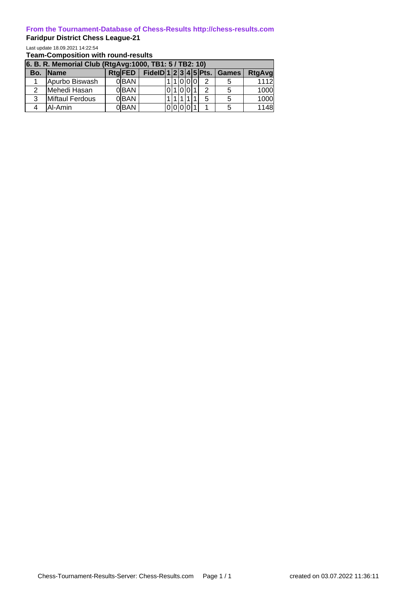## **From the Tournament-Database of Chess-Results http://chess-results.com**

## **Faridpur District Chess League-21**

Last update 18.09.2021 14:22:54

**Team-Composition with round-results**

| 6. B. R. Memorial Club (RtgAvg: 1000, TB1: 5 / TB2: 10) |                 |  |                  |  |  |        |  |  |  |   |                                 |               |
|---------------------------------------------------------|-----------------|--|------------------|--|--|--------|--|--|--|---|---------------------------------|---------------|
|                                                         | Bo. Name        |  | RtgFED           |  |  |        |  |  |  |   | FidelD $ 1 2 3 4 5 $ Pts. Games | <b>RtgAvg</b> |
|                                                         | Apurbo Biswash  |  | 0 <sup>BAN</sup> |  |  | 111000 |  |  |  | 2 |                                 | 1112          |
|                                                         | Mehedi Hasan    |  | 0BAN             |  |  |        |  |  |  | 2 |                                 | 1000          |
| 3                                                       | Miftaul Ferdous |  | 0 BAN            |  |  |        |  |  |  | 5 |                                 | 1000          |
|                                                         | Al-Amin         |  | 0 BAN            |  |  |        |  |  |  |   |                                 | 1148          |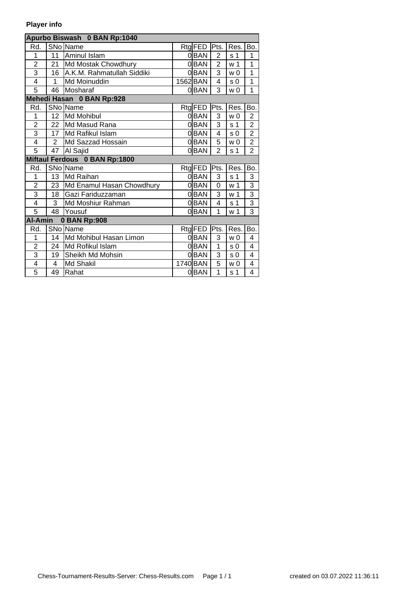## **Player info**

| Apurbo Biswash 0 BAN Rp:1040   |                 |                               |  |          |                |                |                |  |  |  |  |  |
|--------------------------------|-----------------|-------------------------------|--|----------|----------------|----------------|----------------|--|--|--|--|--|
| Rd.                            |                 | SNo Name                      |  | Rtg FED  | Pts.           | Res.           | Bo.            |  |  |  |  |  |
| 1                              | 11              | Aminul Islam                  |  | 0BAN     | $\overline{2}$ | s 1            | 1              |  |  |  |  |  |
| $\overline{2}$                 | 21              | Md Mostak Chowdhury           |  | 0BAN     | $\overline{2}$ | w <sub>1</sub> | 1              |  |  |  |  |  |
| $\overline{\overline{3}}$      | 16              | A.K.M. Rahmatullah Siddiki    |  | 0BAN     | 3              | w <sub>0</sub> | 1              |  |  |  |  |  |
| 4                              | 1               | Md Moinuddin                  |  | 1562 BAN | 4              | s <sub>0</sub> | 1              |  |  |  |  |  |
| 5                              | 46              | Mosharaf                      |  | 0 BAN    | 3              | w <sub>0</sub> | 1              |  |  |  |  |  |
| Mehedi Hasan 0 BAN Rp:928      |                 |                               |  |          |                |                |                |  |  |  |  |  |
| Rd.                            |                 | SNo Name                      |  | Rtg FED  | Pts.           | Res.           | Bo.            |  |  |  |  |  |
| 1                              | 12 <sub>2</sub> | Md Mohibul                    |  | 0BAN     | 3              | w <sub>0</sub> | $\overline{2}$ |  |  |  |  |  |
| $\overline{2}$                 | 22              | Md Masud Rana                 |  | 0BAN     | 3              | s <sub>1</sub> | $\overline{2}$ |  |  |  |  |  |
| $\overline{3}$                 | 17              | Md Rafikul Islam              |  | 0BAN     | 4              | s <sub>0</sub> | $\overline{2}$ |  |  |  |  |  |
| 4                              | $\overline{2}$  | Md Sazzad Hossain             |  | $0$ BAN  | 5              | w <sub>0</sub> | $\overline{2}$ |  |  |  |  |  |
| $\overline{5}$                 | 47              | Al Sajid                      |  | 0BAN     | $\overline{2}$ | s <sub>1</sub> | $\overline{2}$ |  |  |  |  |  |
|                                |                 | Miftaul Ferdous 0 BAN Rp:1800 |  |          |                |                |                |  |  |  |  |  |
| Rd.                            |                 | SNo Name                      |  | Rtg FED  | Pts.           | Res.           | Bo.            |  |  |  |  |  |
| 1                              | 13              | Md Raihan                     |  | 0BAN     | 3              | s <sub>1</sub> | 3              |  |  |  |  |  |
| $\overline{2}$                 | 23              | Md Enamul Hasan Chowdhury     |  | 0BAN     | 0              | w <sub>1</sub> | $\overline{3}$ |  |  |  |  |  |
| $\overline{3}$                 | 18              | Gazi Fariduzzaman             |  | $0$ BAN  | 3              | w <sub>1</sub> | $\overline{3}$ |  |  |  |  |  |
| 4                              | 3               | Md Moshiur Rahman             |  | 0BAN     | 4              | s <sub>1</sub> | $\overline{3}$ |  |  |  |  |  |
| 5                              | 48              | Yousuf                        |  | 0BAN     | $\mathbf{1}$   | w <sub>1</sub> | $\overline{3}$ |  |  |  |  |  |
| <b>Al-Amin</b><br>0 BAN Rp:908 |                 |                               |  |          |                |                |                |  |  |  |  |  |
| Rd.                            |                 | SNo Name                      |  | Rtg FED  | Pts.           | Res.           | Bo.            |  |  |  |  |  |
| 1                              | 14              | Md Mohibul Hasan Limon        |  | 0 BAN    | 3              | w <sub>0</sub> | 4              |  |  |  |  |  |
| $\overline{2}$                 | 24              | Md Rofikul Islam              |  | $0$ BAN  | 1              | s <sub>0</sub> | 4              |  |  |  |  |  |
| $\overline{3}$                 | 19              | Sheikh Md Mohsin              |  | 0BAN     | 3              | s 0            | 4              |  |  |  |  |  |
| 4                              | 4               | <b>Md Shakil</b>              |  | 1740 BAN | $\overline{5}$ | w <sub>0</sub> | 4              |  |  |  |  |  |
| $\overline{5}$                 | 49              | Rahat                         |  | 0BAN     | 1              | s <sub>1</sub> | 4              |  |  |  |  |  |